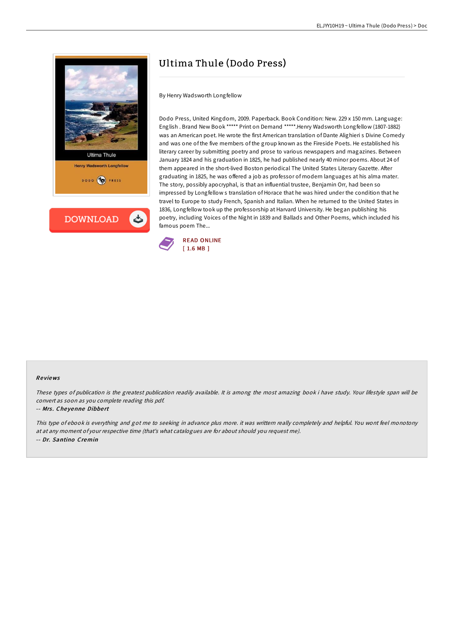

**DOWNLOAD** 

# Ultima Thule (Dodo Press)

By Henry Wadsworth Longfellow

Dodo Press, United Kingdom, 2009. Paperback. Book Condition: New. 229 x 150 mm. Language: English . Brand New Book \*\*\*\*\* Print on Demand \*\*\*\*\*.Henry Wadsworth Longfellow (1807-1882) was an American poet. He wrote the first American translation of Dante Alighieri s Divine Comedy and was one of the five members of the group known as the Fireside Poets. He established his literary career by submitting poetry and prose to various newspapers and magazines. Between January 1824 and his graduation in 1825, he had published nearly 40 minor poems. About 24 of them appeared in the short-lived Boston periodical The United States Literary Gazette. After graduating in 1825, he was offered a job as professor of modern languages at his alma mater. The story, possibly apocryphal, is that an influential trustee, Benjamin Orr, had been so impressed by Longfellow s translation of Horace that he was hired under the condition that he travel to Europe to study French, Spanish and Italian. When he returned to the United States in 1836, Longfellow took up the professorship at Harvard University. He began publishing his poetry, including Voices of the Night in 1839 and Ballads and Other Poems, which included his famous poem The...



### Re views

These types of publication is the greatest publication readily available. It is among the most amazing book i have study. Your lifestyle span will be convert as soon as you complete reading this pdf.

#### -- Mrs. Cheyenne Dibbert

This type of ebook is everything and got me to seeking in advance plus more. it was writtern really completely and helpful. You wont feel monotony at at any moment of your respective time (that's what catalogues are for about should you request me). -- Dr. Santino Cremin